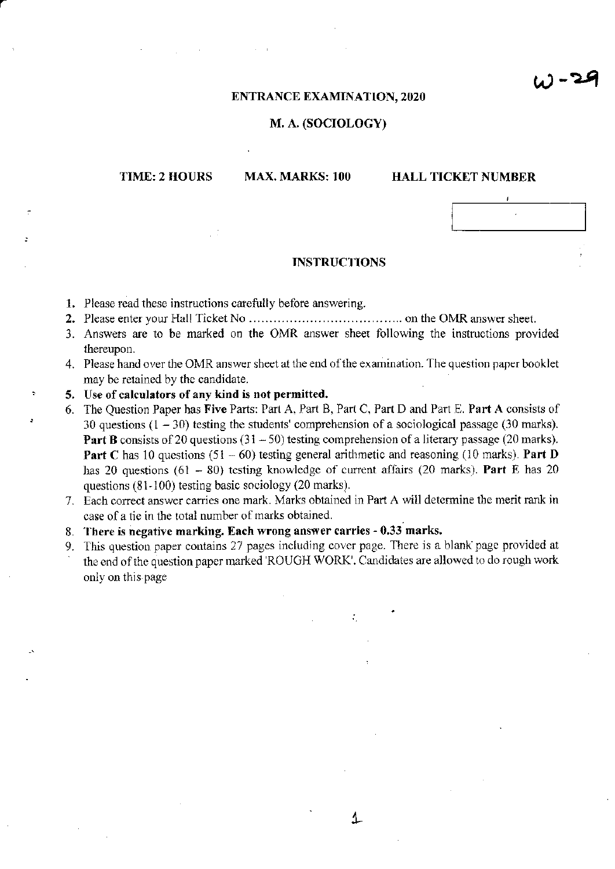$W - 24$ 

#### **ENTRANCE EXAMINATION, 2020**

### M. A. (SOCIOLOGY)

# TIME: 2 HOURS

# MAX. MARKS: 100

## **HALL TICKET NUMBER**

#### **INSTRUCTIONS**

- 1. Please read these instructions carefully before answering.
- 
- 3. Answers are to be marked on the OMR answer sheet following the instructions provided thereupon.
- 4. Please hand over the OMR answer sheet at the end of the examination. The question paper booklet may be retained by the candidate.
- 5. Use of calculators of any kind is not permitted.
- 6. The Question Paper has Five Parts: Part A, Part B, Part C, Part D and Part E. Part A consists of 30 questions  $(1 - 30)$  testing the students' comprehension of a sociological passage (30 marks). **Part B** consists of 20 questions  $(31 - 50)$  testing comprehension of a literary passage  $(20 \text{ marks})$ . **Part C** has 10 questions (51 – 60) testing general arithmetic and reasoning (10 marks). **Part D** has 20 questions (61 – 80) testing knowledge of current affairs (20 marks). Part E has 20 questions  $(81-100)$  testing basic sociology  $(20 \text{ marks})$ .
- 7. Each correct answer carries one mark. Marks obtained in Part A will determine the merit rank in case of a tie in the total number of marks obtained.
- 8. There is negative marking. Each wrong answer carries 0.33 marks.
- 9. This question paper contains 27 pages including cover page. There is a blank page provided at the end of the question paper marked 'ROUGH WORK'. Candidates are allowed to do rough work only on this page

↥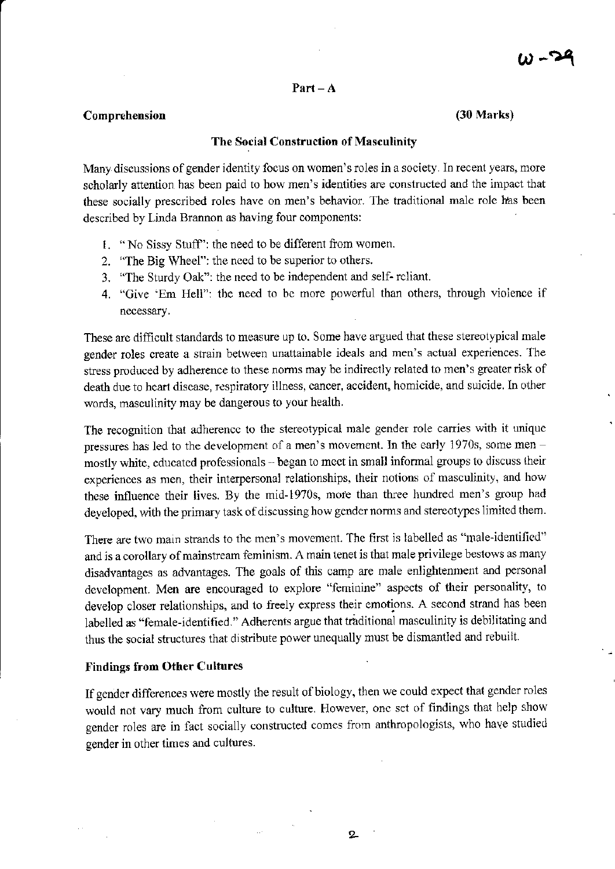#### $Part - A$

#### Comprehension

 $(30 Marks)$ 

# The Social Construction of Masculinity

Many discussions of gender identity focus on women's roles in a society. In recent years, more scholarly attention has been paid to how men's identities are constructed and the impact that these socially prescribed roles have on men's behavior. The traditional male role has been described by Linda Brannon as having four components:

- 1. "No Sissy Stuff": the need to be different from women.
- 2. "The Big Wheel": the need to be superior to others.
- 3. "The Sturdy Oak": the need to be independent and self-reliant.
- 4. "Give 'Em Hell": the need to be more powerful than others, through violence if necessary.

These are difficult standards to measure up to. Some have argued that these stereotypical male gender roles create a strain between unattainable ideals and men's actual experiences. The stress produced by adherence to these norms may be indirectly related to men's greater risk of death due to heart disease, respiratory illness, cancer, accident, homicide, and suicide. In other words, masculinity may be dangerous to your health.

The recognition that adherence to the stereotypical male gender role carries with it unique pressures has led to the development of a men's movement. In the early 1970s, some men mostly white, educated professionals - began to meet in small informal groups to discuss their experiences as men, their interpersonal relationships, their notions of masculinity, and how these influence their lives. By the mid-1970s, more than three hundred men's group had developed, with the primary task of discussing how gender norms and stereotypes limited them.

There are two main strands to the men's movement. The first is labelled as "male-identified" and is a corollary of mainstream feminism. A main tenet is that male privilege bestows as many disadvantages as advantages. The goals of this camp are male enlightenment and personal development. Men are encouraged to explore "feminine" aspects of their personality, to develop closer relationships, and to freely express their emotions. A second strand has been labelled as "female-identified." Adherents argue that traditional masculinity is debilitating and thus the social structures that distribute power unequally must be dismantled and rebuilt.

#### **Findings from Other Cultures**

If gender differences were mostly the result of biology, then we could expect that gender roles would not vary much from culture to culture. However, one set of findings that help show gender roles are in fact socially constructed comes from anthropologists, who have studied gender in other times and cultures.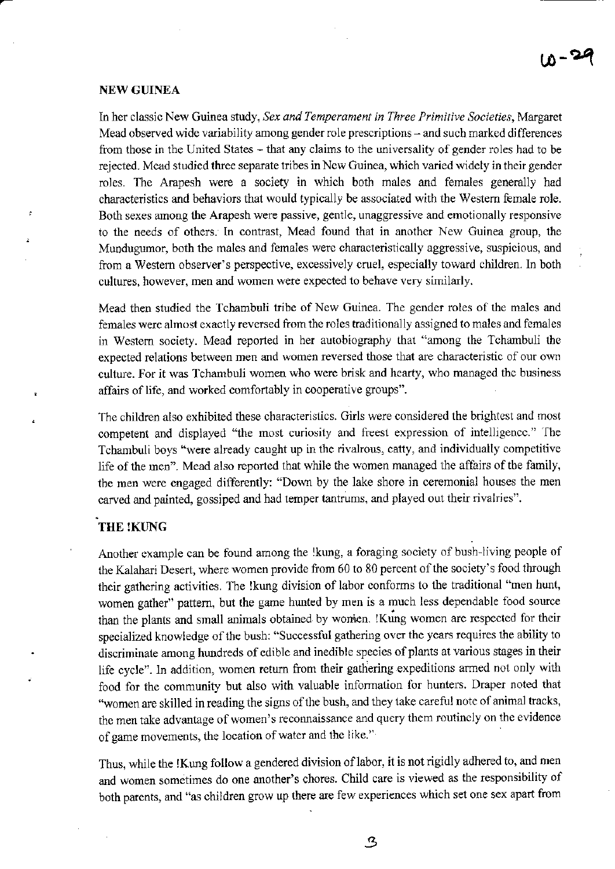### **NEW GUINEA**

¢

In her classic New Guinea study, Sex and Temperament in Three Primitive Societies, Margaret Mead observed wide variability among gender role prescriptions – and such marked differences from those in the United States – that any claims to the universality of gender roles had to be rejected. Mead studied three separate tribes in New Guinea, which varied widely in their gender roles. The Arapesh were a society in which both males and females generally had characteristics and behaviors that would typically be associated with the Western female role. Both sexes among the Arapesh were passive, gentle, unaggressive and emotionally responsive to the needs of others. In contrast, Mead found that in another New Guinea group, the Mundugumor, both the males and females were characteristically aggressive, suspicious, and from a Western observer's perspective, excessively cruel, especially toward children. In both cultures, however, men and women were expected to behave very similarly.

Mead then studied the Tchambuli tribe of New Guinea. The gender roles of the males and females were almost exactly reversed from the roles traditionally assigned to males and females in Western society. Mead reported in her autobiography that "among the Tchambuli the expected relations between men and women reversed those that are characteristic of our own culture. For it was Tchambuli women who were brisk and hearty, who managed the business affairs of life, and worked comfortably in cooperative groups".

The children also exhibited these characteristics. Girls were considered the brightest and most competent and displayed "the most curiosity and freest expression of intelligence." The Tchambuli boys "were already caught up in the rivalrous, catty, and individually competitive life of the men". Mead also reported that while the women managed the affairs of the family, the men were engaged differently: "Down by the lake shore in ceremonial houses the men carved and painted, gossiped and had temper tantrums, and played out their rivalries".

# THE !KUNG

Another example can be found among the !kung, a foraging society of bush-living people of the Kalahari Desert, where women provide from 60 to 80 percent of the society's food through their gathering activities. The !kung division of labor conforms to the traditional "men hunt, women gather" pattern, but the game hunted by men is a much less dependable food source than the plants and small animals obtained by women. !Kung women are respected for their specialized knowledge of the bush: "Successful gathering over the years requires the ability to discriminate among hundreds of edible and inedible species of plants at various stages in their life cycle". In addition, women return from their gathering expeditions armed not only with food for the community but also with valuable information for hunters. Draper noted that "women are skilled in reading the signs of the bush, and they take careful note of animal tracks, the men take advantage of women's reconnaissance and query them routinely on the evidence of game movements, the location of water and the like."

Thus, while the !Kung follow a gendered division of labor, it is not rigidly adhered to, and men and women sometimes do one another's chores. Child care is viewed as the responsibility of both parents, and "as children grow up there are few experiences which set one sex apart from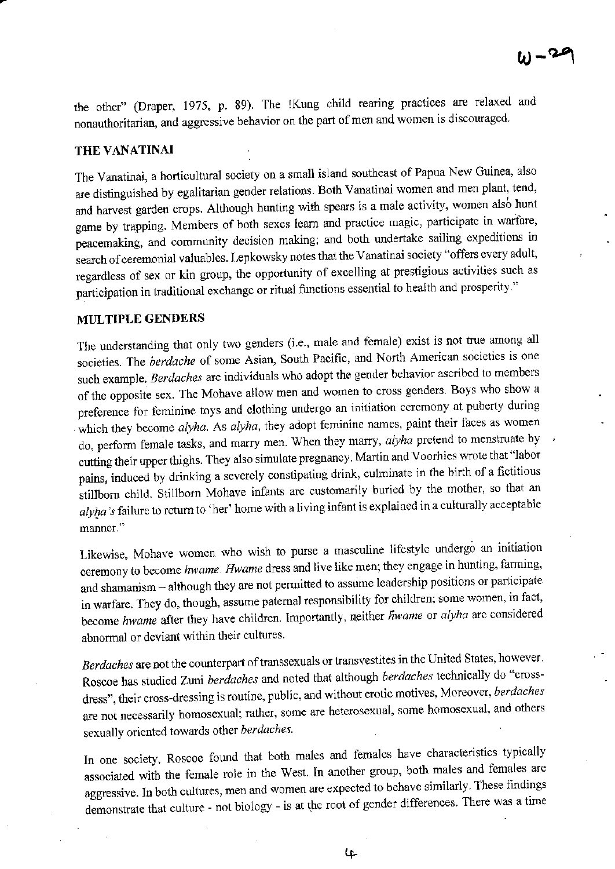the other" (Draper, 1975, p. 89). The !Kung child rearing practices are relaxed and nonauthoritarian, and aggressive behavior on the part of men and women is discouraged.

#### THE VANATINAI

The Vanatinai, a horticultural society on a small island southeast of Papua New Guinea, also are distinguished by egalitarian gender relations. Both Vanatinai women and men plant, tend, and harvest garden crops. Although hunting with spears is a male activity, women also hunt game by trapping. Members of both sexes learn and practice magic, participate in warfare, peacemaking, and community decision making; and both undertake sailing expeditions in search of ceremonial valuables. Lepkowsky notes that the Vanatinai society "offers every adult, regardless of sex or kin group, the opportunity of excelling at prestigious activities such as participation in traditional exchange or ritual functions essential to health and prosperity."

# MULTIPLE GENDERS

The understanding that only two genders (i.e., male and female) exist is not true among all societies. The berdache of some Asian, South Pacific, and North American societies is one such example. Berdaches are individuals who adopt the gender behavior ascribed to members of the opposite sex. The Mohave allow men and women to cross genders. Boys who show a preference for feminine toys and clothing undergo an initiation ceremony at puberty during which they become *alyha*. As *alyha*, they adopt feminine names, paint their faces as women do, perform female tasks, and marry men. When they marry, *alyha* pretend to menstruate by cutting their upper thighs. They also simulate pregnancy. Martin and Voorhies wrote that "labor pains, induced by drinking a severely constipating drink, culminate in the birth of a fictitious stillborn child. Stillborn Mohave infants are customarily buried by the mother, so that an alyha's failure to return to 'her' home with a living infant is explained in a culturally acceptable manner."

Likewise, Mohave women who wish to purse a masculine lifestyle undergo an initiation ceremony to become hwame. Hwame dress and live like men; they engage in hunting, farming, and shamanism - although they are not permitted to assume leadership positions or participate in warfare. They do, though, assume paternal responsibility for children; some women, in fact, become hwame after they have children. Importantly, neither hwame or alyha are considered abnormal or deviant within their cultures.

Berdaches are not the counterpart of transsexuals or transvestites in the United States, however. Roscoe has studied Zuni berdaches and noted that although berdaches technically do "crossdress", their cross-dressing is routine, public, and without erotic motives, Moreover, berdaches are not necessarily homosexual; rather, some are heterosexual, some homosexual, and others sexually oriented towards other berdaches.

In one society, Roscoe found that both males and females have characteristics typically associated with the female role in the West. In another group, both males and females are aggressive. In both cultures, men and women are expected to behave similarly. These findings demonstrate that culture - not biology - is at the root of gender differences. There was a time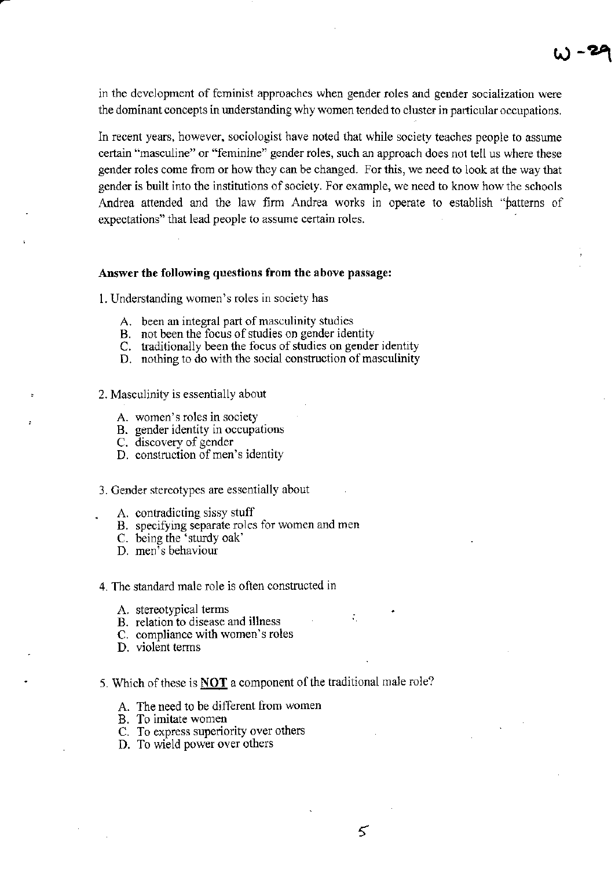in the development of feminist approaches when gender roles and gender socialization were the dominant concepts in understanding why women tended to cluster in particular occupations.

W <mark>-29</mark>

In recent years, however, sociologist have noted that while society teaches people to assune certain "masculine" or "feminine" gender ro1es, such an approach does not tell us where these gender roles come from or how thcy can be changed. For this, we need to look at the way that gender is built into the institutions of society. For example, we need to know how the schools Andrea attended and the law firm Andrea works in operate to establish "patterns of expectations" that lead people to assume certain roles.

#### Answer the following questions from the above passage:

L Understanding women's roles in society has

- A. been an integral part of masculinity studies
- B. not been the focus of studies on gender identity
- C. traditionally been the focus of studies on gender identity
- D. nothing to do with the social consfuction of masculinity
- 2. Masculinity is essentially about
	- A. women's roles in society
	- B. gender identity in occupations
	- C. discovery of gender
	- D. construction of men's identity

#### 3. Gender stereotypes are essentially about

- A. contradicting sissy stuff
- B. specifying separate roles for women and men
- C. being the 'sturdy oak'
- D. men's behaviour

#### 4. The standard male role is often constucted in

- A. stereotypical terms
- B. relation to disease and illness
- C. compliance with women's roles
- D. violent terms

# 5. Which of these is **NOT** a component of the traditional male role?

- A. The need to be different from women
- B. To imitate women
- C. To express superiority over others
- D. To wield power over others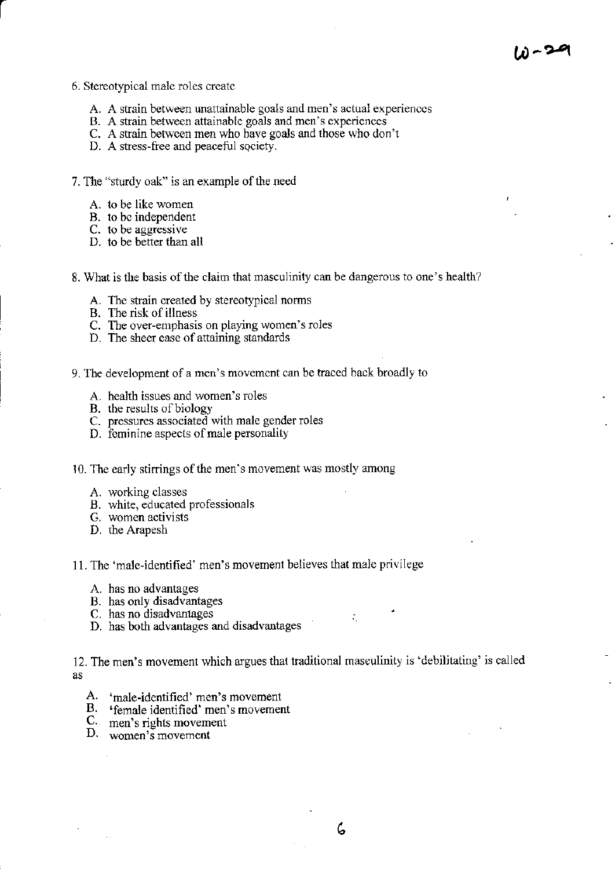- 6. Stereotypical male roles create
	- A. A strain between unattainable goals and men's actual experiences
	- B. A strain between attainable goals and men's experiences
	- C. A strain between men who have goals and those who don't
	- D. A stress-free and peaceful society.
- 7. The "sturdy oak" is an example of the need
	- A. to be like women
	- B. to be independent
	- C. to be aggressive
	- D. to be better than all
- 8. What is the basis of the claim that masculinity can be dangerous to one's health?
	- A. The strain created by stereotypical norms
	-
	- B. The risk of illness<br>C. The over-emphasis on playing women's roles
	- D. The sheer ease of attaining standards
- 9. The development of a men's movement can be traced back broadly to
	- A. health issues and women's roles
	- B. the results of biology
	- C. pressures associated with male gender roles
	- D. feminine aspects of male personality
- 10. The early stirrings of the men's movement was mostly among
	- A. working classes
	- B. white, educated professionals
	- G. women activists
	- D. the Arapesh
- 11. The 'male-identified' men's movement believes that male privilege
	- A. has no advantages
	- B. has only disadvantages
	- C. has no disadvantages
	- D. has both advantages and disadvantages

12. The men's movement which argues that traditional masculinity is 'debilitating' is called as

- A. 'male-identified' men's movement
- B. 'female identified' men's movement
- C. men's rights movement
- D. women's movement

 $\mathcal{L}$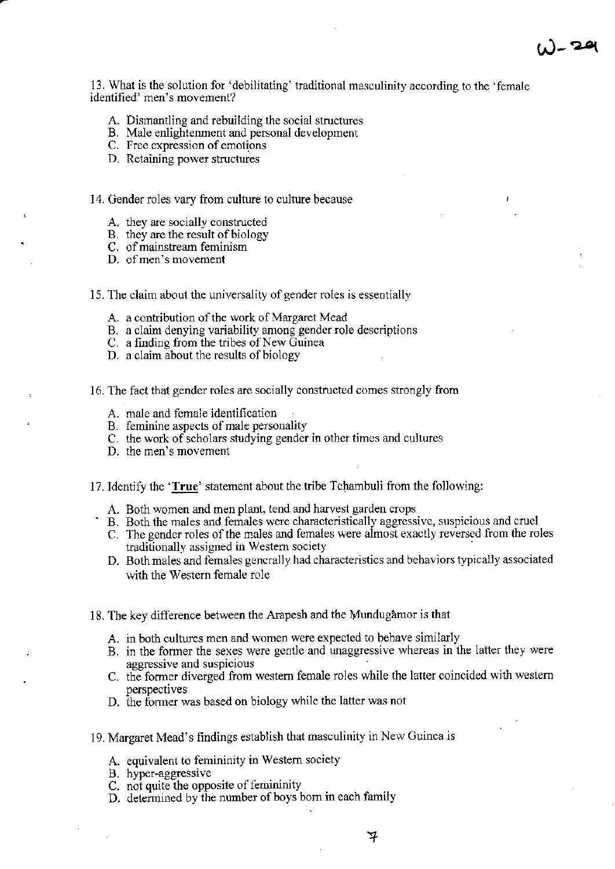13. What is the solution for 'debilitating' traditional masculinity according to the 'female' identified' men's movement?

- A. Dismantling and rebuilding the social structures
- B. Male enlightenment and personal development
- C. Free expression of emotions
- D. Retaining power structures
- 14. Gender roles vary from culture to culture because
	- A. they are socially constructed
	- B. they are the result of biology
	- C. of mainstream feminism
	- D. of men's movement
- 15. The claim about the universality of gender roles is essentially
	- A. a contribution of the work of Margaret Mead
	- B. a claim denying variability among gender role descriptions<br>C. a finding from the tribes of New Guinea
	-
	- D. a claim about the results of biology
- 16. The fact that gender roles are socially constructed comes strongly from
	- A. male and female identification
	- B. feminine aspects of male personality
	- C. the work of scholars studying gender in other times and cultures
	- D. the men's movement
- 17. Identify the 'True' statement about the tribe Tchambuli from the following:
	- A. Both women and men plant, tend and harvest garden crops
	- B. Both the males and females were characteristically aggressive, suspicious and cruel
	- C. The gender roles of the males and females were almost exactly reversed from the roles traditionally assigned in Western society
	- D. Both males and females generally had characteristics and behaviors typically associated with the Western female role
- 18. The key difference between the Arapesh and the Mundugamor is that
	- A. in both cultures men and women were expected to behave similarly
	- B. in the former the sexes were gentle and unaggressive whereas in the latter they were aggressive and suspicious
	- C. the former diverged from western female roles while the latter coincided with western perspectives
	- D. the former was based on biology while the latter was not
- 19. Margaret Mead's findings establish that masculinity in New Guinea is
	- A. equivalent to femininity in Western society
	- B. hyper-aggressive
	- C. not quite the opposite of femininity
	- D. determined by the number of boys born in each family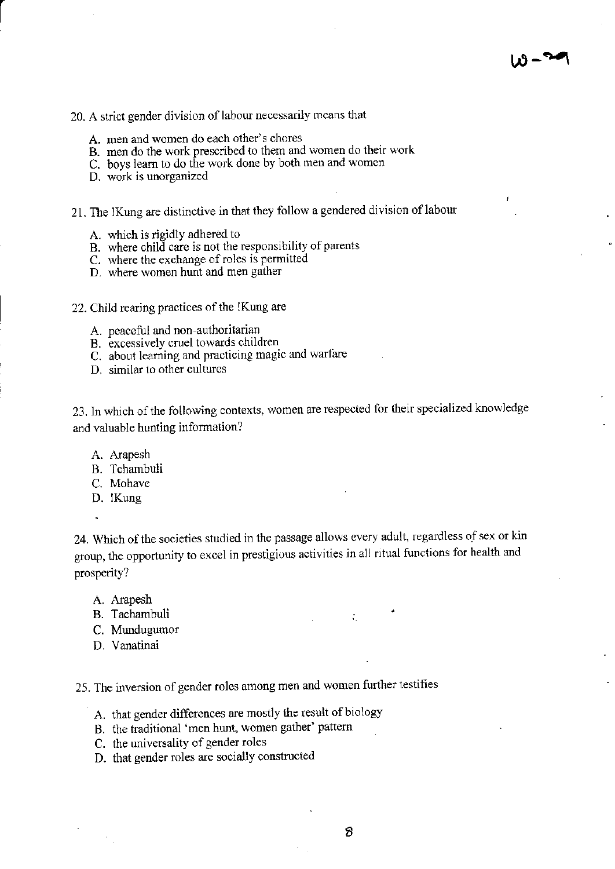# 20. A strict gender division of labour necessarily means that

- A. men and women do each other's chores
- B. men do the work prescribed to them and women do their work
- C. boys learn to do the work done by both men and women
- D. work is unorganized
- 21. The !Kung are distinctive in that they follow a gendered division of labour
	- A. which is rigidly adhered to
	- B. where child care is not the responsibility of parents
	- C. where the exchange of roles is permitted
	- D. where women hunt and men gather
- 22. Child rearing practices of the !Kung are
	- A. peaceful and non-authoritarian
	- B. excessively cruel towards children
	- C. about learning and practicing magic and warfare
	- D. similar to other cultures

23. In which of the following contexts, women are respected for their specialized knowledge and valuable hunting information?

- A. Arapesh
- B. Tchambuli
- C. Mohave
- D. Kung

l,

24. Which of the societies studied in the passage allows every adult, regardless of sex or kin group, the opportunity to excel in prestigious activities in all ritual functions for health and prosperity?

- A. Arapesh
- B. Tachambuli
- C. Mundugumor
- D. Vanatinai

25. The inversion of gender roles among men and women further testifies

- A. that gender differences are mostly the result of biology
- B. the traditional 'men hunt, women gather' pattern
- C. the universality of gender roles
- D. that gender roles are socially constructed

 $\tilde{V}_\text{eff}$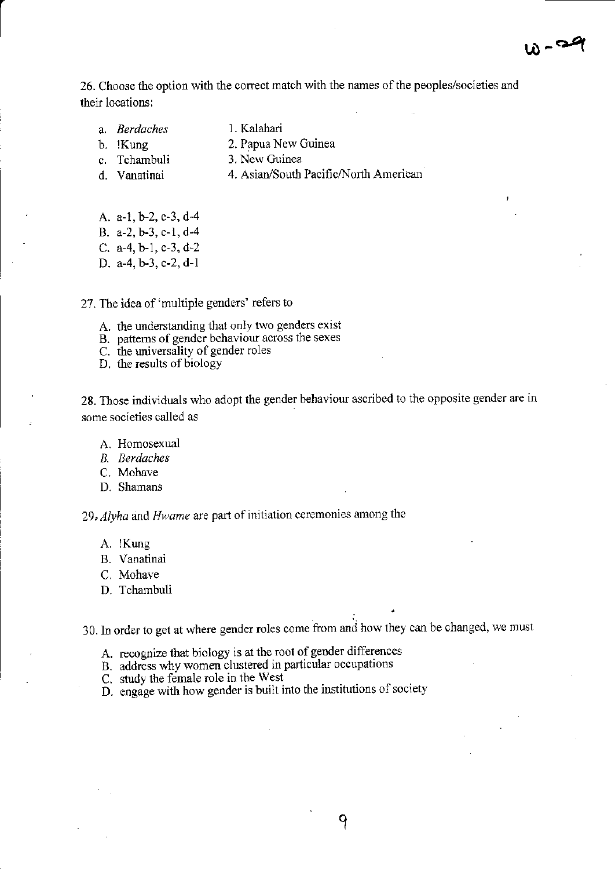26. Choose the option with the correct match with the names of the peoples/societies and their locations:

- 
- a. *Berdaches* 1. Kalahari<br>b. !Kung 2. Papua N
- 
- 
- 2. Papua New Guinea
- c. Tchambuli 3. New Guinea
- d. Vanatinai 4. Asian/South Pacific/North American
- A. a-1, b-2, c-3, d-4
- B. a-2, b-3, c-1, d-4
- C. a-4, b-1, c-3, d-2
- D. a-4, b-3, c-2, d-1
- 27. The idea of 'multiple genders' refers to
	- A. the understanding that only two genders exist
	- B. patterns of gender behaviour across the sexes
	- C. the universality of gender roles
	- D. the results of biology

28. Those individuals who adopt the gender behaviour ascribed to the opposite gender are in some societies called as

- A. Homosexual
- B. Berdaches
- C. Mohave
- D. Shamans

<sup>29</sup>, Alyha and Hwame are part of initiation ceremonies among the

- A. Kung
- B. Vanatinai
- C. Mohave
- D. Tchambuli

30. In order to get at where gender roles come from and how they can be changed, we must

- A. recognize that biology is at the root of gender differences
- B. address why women clustered in particular occupations
- C. study the female role in the West
- D. engage with how gender is built into the institutions of society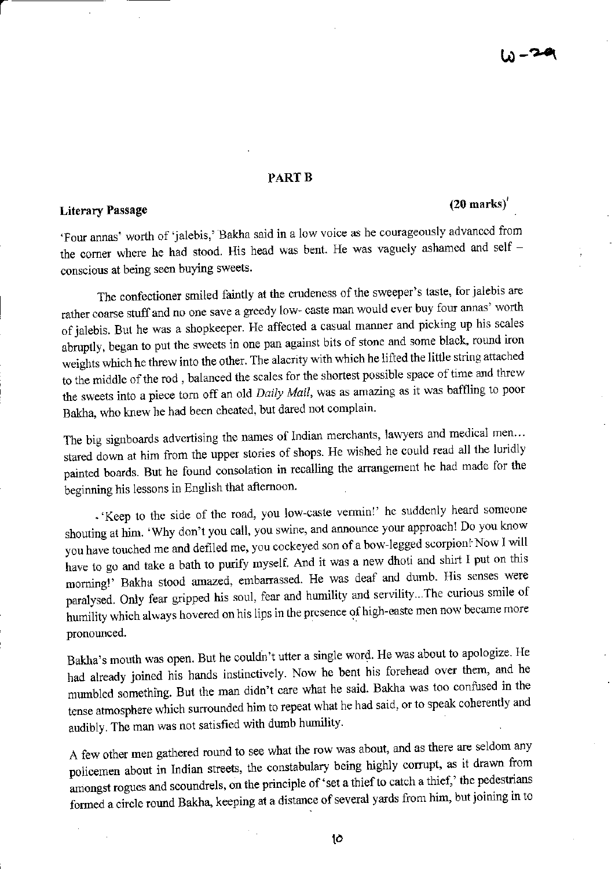# **PART B**

# **Literary Passage**

# $(20$  marks)'

'Four annas' worth of 'jalebis,' Bakha said in a low voice as he courageously advanced from the corner where he had stood. His head was bent. He was vaguely ashamed and self conscious at being seen buying sweets.

The confectioner smiled faintly at the crudeness of the sweeper's taste, for jalebis are rather coarse stuff and no one save a greedy low- caste man would ever buy four annas' worth of jalebis. But he was a shopkeeper. He affected a casual manner and picking up his scales abruptly, began to put the sweets in one pan against bits of stone and some black, round iron weights which he threw into the other. The alacrity with which he lifted the little string attached to the middle of the rod, balanced the scales for the shortest possible space of time and threw the sweets into a piece torn off an old Daily Mail, was as amazing as it was baffling to poor Bakha, who knew he had been cheated, but dared not complain.

The big signboards advertising the names of Indian merchants, lawyers and medical men... stared down at him from the upper stories of shops. He wished he could read all the luridly painted boards. But he found consolation in recalling the arrangement he had made for the beginning his lessons in English that afternoon.

· 'Keep to the side of the road, you low-caste vermin!' he suddenly heard someone shouting at him. 'Why don't you call, you swine, and announce your approach! Do you know you have touched me and defiled me, you cockeyed son of a bow-legged scorpion! Now I will have to go and take a bath to purify myself. And it was a new dhoti and shirt I put on this morning!' Bakha stood amazed, embarrassed. He was deaf and dumb. His senses were paralysed. Only fear gripped his soul, fear and humility and servility... The curious smile of humility which always hovered on his lips in the presence of high-easte men now became more pronounced.

Bakha's mouth was open. But he couldn't utter a single word. He was about to apologize. He had already joined his hands instinctively. Now he bent his forehead over them, and he mumbled something. But the man didn't care what he said. Bakha was too confused in the tense atmosphere which surrounded him to repeat what he had said, or to speak coherently and audibly. The man was not satisfied with dumb humility.

A few other men gathered round to see what the row was about, and as there are seldom any policemen about in Indian streets, the constabulary being highly corrupt, as it drawn from amongst rogues and scoundrels, on the principle of 'set a thief to catch a thief,' the pedestrians formed a circle round Bakha, keeping at a distance of several yards from him, but joining in to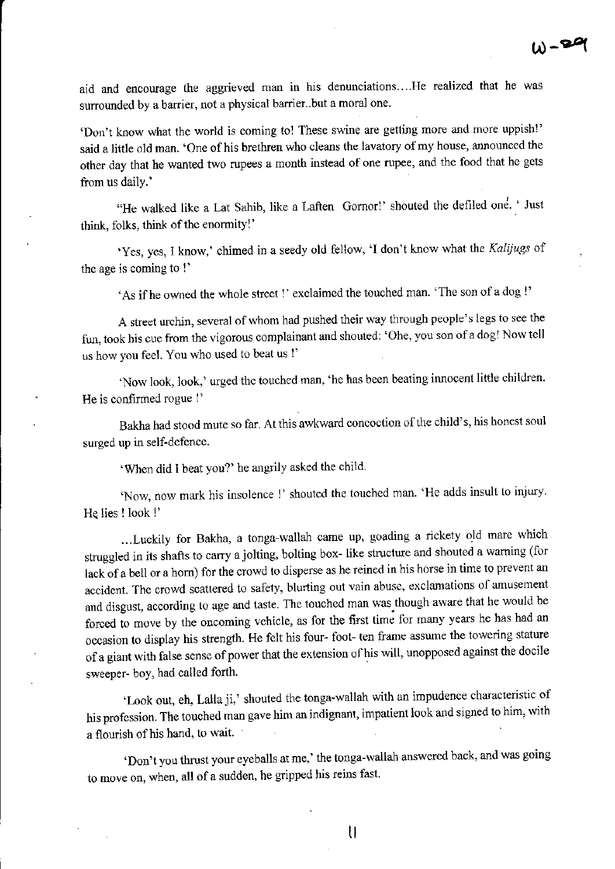aid and encourage the aggrieved man in his denunciations.. ..He realized that he was surrounded by a barrier, not a physical barrier..but a moral one.

'Don't know what the world is coming to! These swine are getting more and more uppish!' said a little old man. 'One of his brethren who cleans the lavatory of my house, announced the other day that he wanted two rupees a month instead of one rupee, and the food that he gets from us daily.'

"He walked like a Lat Sahib, like a Laften Gornor!' shouted the defiled one. 'Just think, folks, think of the enormity!'

'Yes, yes, I know,' chimed in a seedy old fellow, 'I don't know what the Kalijugs of the age is coming to !'

'As if he owned the whole street !' exclaimed the touched man'The son of a dog l'

A street urchin, several of whom had pushed their way through people's legs to see the fun, took his cue from the vigorous complainant and shouted: 'Ohe, you son of a dog! Now tell us how you feel. You who used to beat us !'

'Now look, look,' urged the touched man, 'he has been beating innocent little children. He is confirmed rogue !'

Bakha had stood mute so far. At this awkward concoction of the child's, his honest soul surged up in self-defence.

'When did I beat you?' he angrily asked the child.

'Now, now mark his insolence !' shouted the touched man. 'He adds insult to injury. He lies ! look !'

...Luckily for Bakha, a tonga-wallah came up, goading a rickety old mare which struggled in its shafts to carry a jolting, bolting box- like structure and shouted a warning (for lack of a bell or a horn) for the crowd to disperse as he reined in his horse in time to prevent an accident. The crowd scattered to safety, blurting out vain abuse, exclamations of amusement and disgust, according to age and taste. The touched man was though aware that he would be forced to move by the oncoming vehicle, as for the first time for many years he has had an occasion to display his strength. He felt his four- foot- ten frame assume the towering stature of a giant with false sense of power that the extension of his will, unopposed against the docile sweeper- boy, had called forth.

'Look out, eh, Lalla ji,' shouted the tonga-wallah with an impudence characteristic of his profession. The touched man gave him an indignant, impatient look and signed to him, with a flourish of his hand, to wait.

'Don't you thrust your eyeballs at me,' the tonga-wallah answered back' and was going to move on, when, all of a sudden, he gripped his reins fast.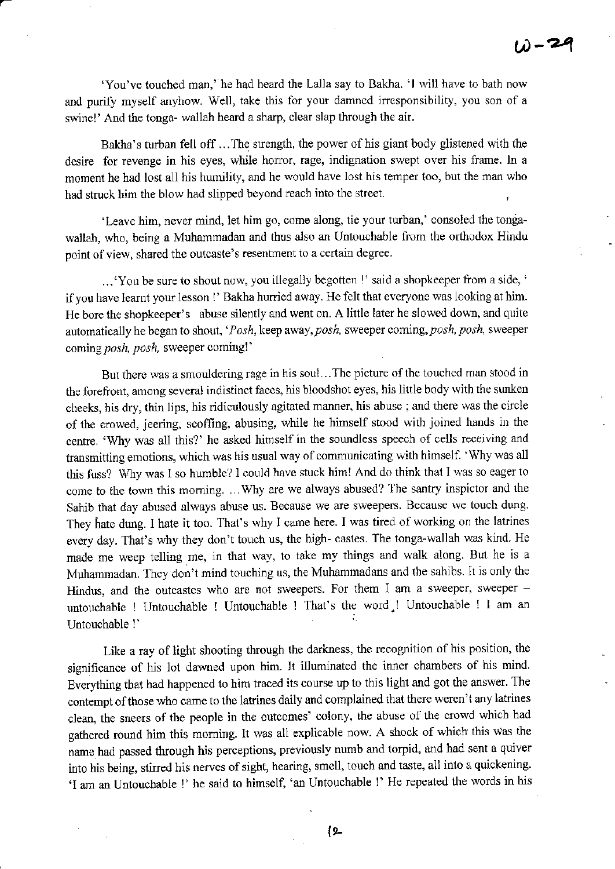'You've touched man,' he had heard the Lalla say to Bakha. 'I will have to bath now and purify myself anyhow. Well, take this for your damned irresponsibility, you son of a swine!' And the tonga- wallah heard a sharp, clear slap through the air.

Bakha's turban fell off ... The strength, the power of his giant body glistened with the desire for revenge in his eyes, while horror, rage, indignation swept over his frame. In a moment he had lost all his humility, and he would have lost his temper too, but the man who had struck him the blow had slipped beyond reach into the street.

'Leave him, never mind, let him go, come along, tie your turban,' consoled the tongawallah, who, being a Muhammadan and thus also an Untouchable from the orthodox Hindu point of view, shared the outcaste's resentment to a certain degree.

...'You be sure to shout now, you illegally begotten !' said a shopkeeper from a side, ' if you have learnt your lesson !' Bakha hurried away. He felt that everyone was looking at him. He bore the shopkeeper's abuse silently and went on. A little later he slowed down, and quite automatically he began to shout, 'Posh, keep away, posh, sweeper coming, posh, posh, sweeper coming posh, posh, sweeper coming!'

But there was a smouldering rage in his soul...The picture of the touched man stood in the forefront, among several indistinct faces, his bloodshot eyes, his little body with the sunken cheeks, his dry, thin lips, his ridiculously agitated manner, his abuse ; ard there was the circle of the crowed, jeering, scoffing, abusing, while he himself stood with joined hands in the centre. 'Wly was all this?' he asked himself in the soundless speech of cells receiving and transmitting emotions, which was his usual way of communicating with himself. 'Why was all this fuss? Why was I so humble? I could have stuck him! And do think that I was so eager to come to the town this morning. ...Why are we always abused? The santry inspictor and the Sahib that day abused always abuse us. Because we are sweepers. Because we touch dung They hate dung. I hate it too. That's why I came here. I was tired of working on the latrines every day. That's why they don't touch us, the high- castes. The tonga-wallah was kind He made me weep telling me, in that way, to take my things and walk along. But he is a Muhammadan. They don't mind touching us, the Muhammadans and the sahibs. It is only the Hindus, and the outcastes who are not sweepers. For them I am a sweeper, sweeper  $$ untouchable ! Untouchable ! Untouchable I That's the word.! Untouchable ! I am an Untouchable !'

Like a ray of light shooting through the darkness, the recognition of his position, the significance of his lot dawned upon him. It illuminated the inner chambers of his mind. Everything that had happened to him traced its course up to this light and got the answer. The contempt of those who came to the latrines daily and complained that there weren't any latrines clean, the sneers of the people in the outcomes' colony, the abuse of the crowd which had gathered round him this morning. It was all explicable now. A shock of which this was the name had passed through his perceptions, previously numb and torpid, and had sent a quiver into his being, stirred his nerves of sight, hearing, smell, touch and taste, all into a quickening. 'I am an Untouchable !' he said to himself, 'an Untouchable !' He repeated the words in his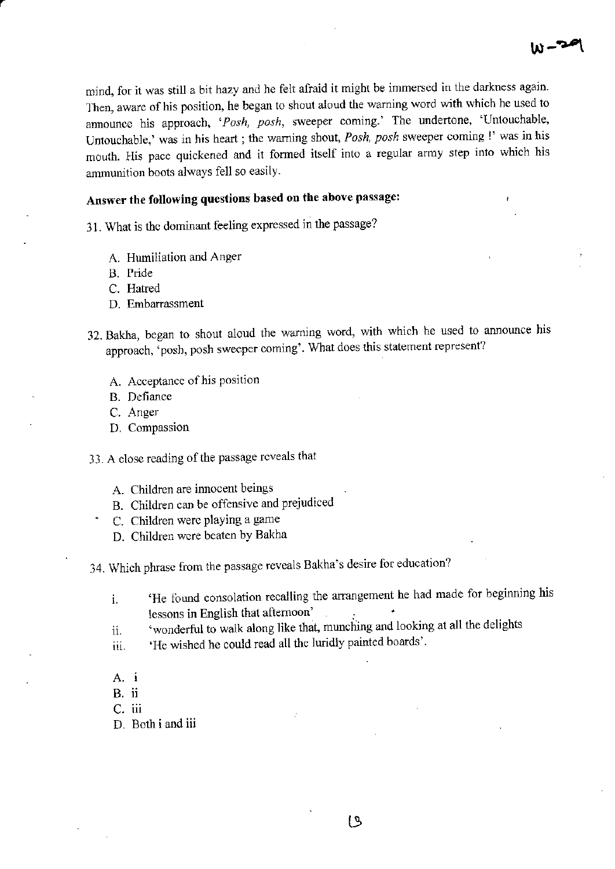mind, for it was still a bit hazy and he felt afraid it might be immersed in the darkness again. Then, aware of his position, he began to shout aloud the warning word with which he used to announce his approach, 'Posh, posh, sweeper coming.' The undertone, 'Untouchable, Untouchable,' was in his heart; the warning shout, Posh, posh sweeper coming!' was in his mouth. His pace quickened and it formed itself into a regular army step into which his ammunition boots always fell so easily.

# Answer the following questions based on the above passage:

31. What is the dominant feeling expressed in the passage?

- A. Humiliation and Anger
- B. Pride
- C. Hatred
- D. Embarrassment
- 32. Bakha, began to shout aloud the warning word, with which he used to announce his approach, 'posh, posh sweeper coming'. What does this statement represent?
	- A. Acceptance of his position
	- B. Defiance
	- C. Anger
	- D. Compassion
- 33. A close reading of the passage reveals that
	- A. Children are innocent beings
	- B. Children can be offensive and prejudiced
	- C. Children were playing a game
	- D. Children were beaten by Bakha

34. Which phrase from the passage reveals Bakha's desire for education?

- 'He found consolation recalling the arrangement he had made for beginning his  $\mathbf{i}$ . lessons in English that afternoon'
- 'wonderful to walk along like that, munching and looking at all the delights ii.
- 'He wished he could read all the luridly painted boards'. iii.
- $A. i$
- B. ii
- C. iii
- D. Both i and iii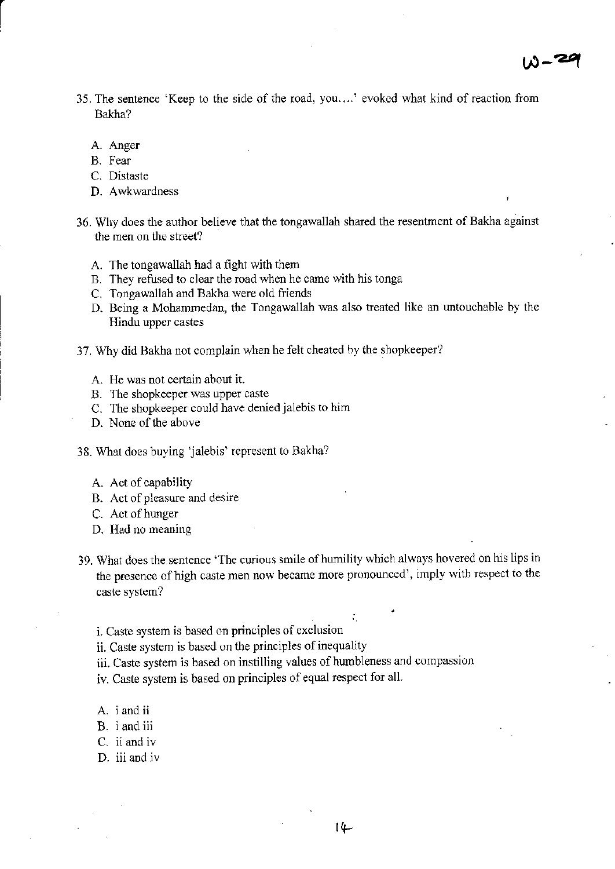- 35. The sentence 'Keep to the side of the road, you....' evoked what kind of reaction from Bakha?
	- A. Anger
	- B. Fear
	- C. Distaste
	- D. Awkwardness
- 36. Why does the author believe that the tongawallah shared the resentment of Bakha against the men on the street?
	- A. The tongawallah had a fight with them
	- B. They refused to clear the road when he came with his tonga
	- C. Tongawallah and Bakha were old friends
	- D. Being a Mohammedan, the Tongawallah was also treated like an untouchable by thc Hindu upper castes
- 37. Why did Bakha not complain when he felt cheated by the shopkeeper?
	- A. He was not certain about it.
	- B. The shopkeeper was upper caste
	- C. The shopkeeper could have denied jalebis to him
	- D. None of the above
- 38. What does buying 'jalebis' represent to Bakha?
	- A. Act of capability
	- B. Act of pleasure and desire
	- C. Act of hunger
	- D. Had no meaning
- 39. What does the sentenca 'The curious smile of humility which always hovered on his lips in the presence of high caste men now became more pronounced', imply with respect to the caste system?
	- i. Caste system is based on principles of exclusion
	- ii. Caste system is based on the principles of inequality
	- iii. Caste system is based on instilling values of humbleness and compassion
	- iv. Caste system is based on principles of equal respect for all
	- A. *i* and *ii*
	- B. <sup>i</sup>and iii
	- C. ii and iv
	- D. iii and iv

i'

 $\bullet$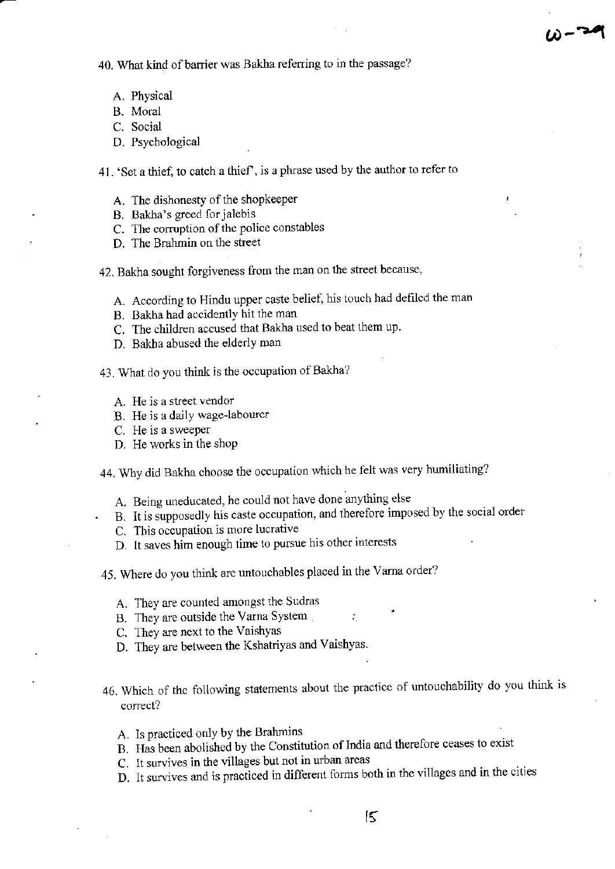40. What kind of barrier was Bakha referring to in the passage?

- A, Physical
- B. Moml
- C. Social
- D. Psychological

4l. 'Set a thief, to catch a thicf, is a phrase used by the author to refer to

يد \_<br>س<sup>د</sup> – (برا

- A. The dishonesty of the shopkeeper
- B. Bakha's greed for jalebis
- C. The corruption of the police constables
- D. The Brahmin on the street

42. Bakha sought forgiveness from the man on the street because,

- A. According to Hindu upper caste belief, his touch had defiled the man
- B. Bakha had accidently hit the man
- C. The children accused that Bakha used to beat them up.
- D. Bakha abused the elderly man
- 43. What do you think is the occupation of Bakha?
	- A. He is a steet vendor
	- B. He is a daily wage-labourer
	- C. He is a sweeper
	- D. He works in the shop

44. Why did Bakha choose the occupation which he felt was very hurniliating?

- A. Being uneducated, he could not have done anything else
- B. It is supposedly his caste occupation, and therefore imposed by the social order
- C. This occupation is more lucrative
- D. lt saves him enough time to pursue his othcr inlerests
- 45. Where do you think are untouchables placed in the Varna order?
	- A, They are counted amongst the Sudras
	- B. They are outside the Varna System
	- C. They are next to the Vaishyas
	- D. They are between the Kshatriyas and Vaishyas.
- 46. Which of thc following statements about the practice of untouchability do you think is correct?
	- A. Is practiced only by the Brahmins
	- B. Has been abolished by the Constitution of India and therefore ceases to exist
	- C. It survives in the villages but not in urban areas
	- D. It survives and is practiced in different forms both in the villages and in the cities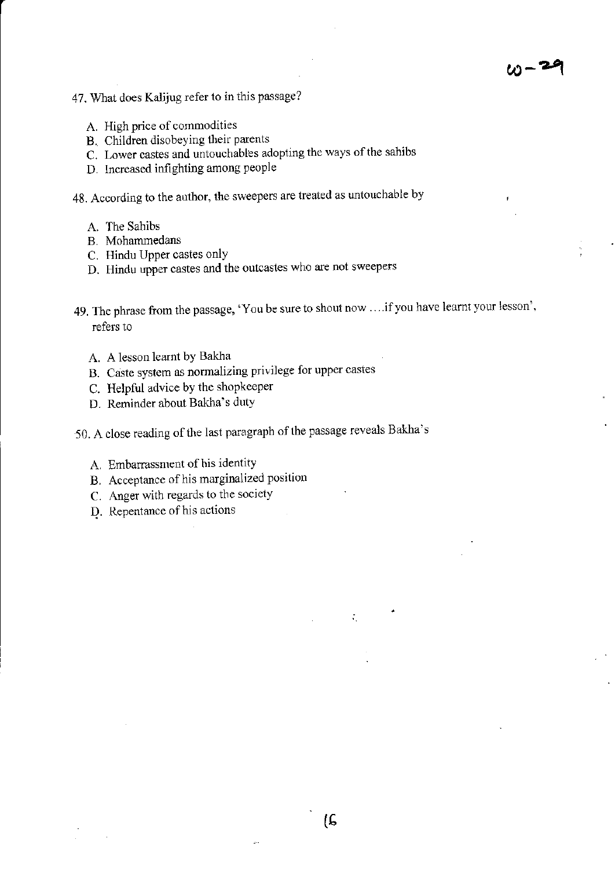$w - 24$ 

- 47. What does Kalijug refer to in this passage?
	- A. High price of commodities
	- B. Children disobeying their parents
	- C. Lower castes and untouchables adopting the ways of the sahibs
	- D. tncreased infighting among people

48. According to the author, the sweepers are treated as untouchable by

- A. The Sahibs
- B. Mohammedans
- C. Hindu Upper castes only
- D. Hindu upper castes and the outcastes who are not sweepers
- 49. The phrase from the passage, 'You be sure to shout now ... if you have learnt your lesson', refers to
	- A. A lesson learnt by Bakha
	- B. Caste system as normalizing privilege for upper castes
	- C. Helpful advice by the shopkeeper
	- D. Reminder about Bakha's duty
- 50. A close reading of the last paragraph of the passage reveals Bakha's
	- A. Embarrassment of his identity
	- B. Acceptance of his marginalized position
	- C. Anger with regards to the society
	- D. Repentance of his actions

 $\zeta_1$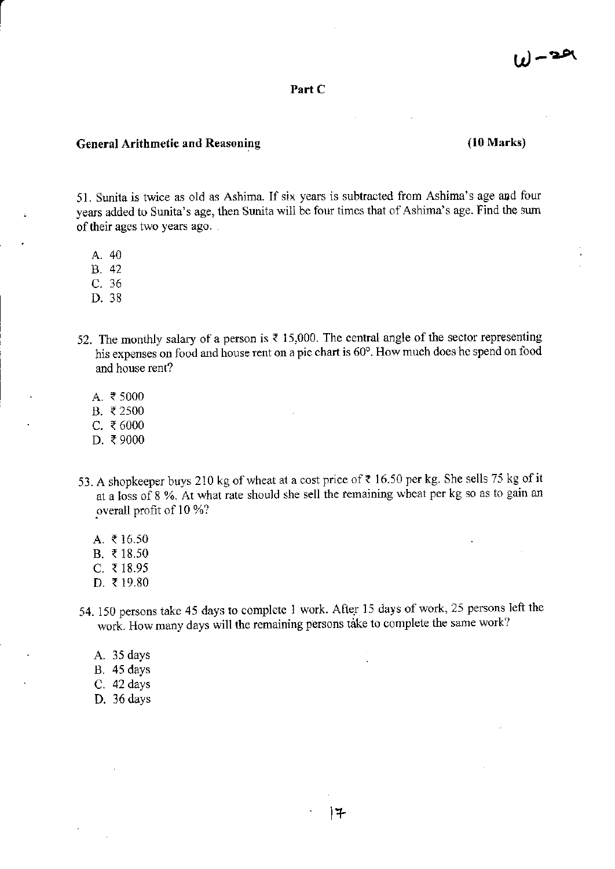#### Part C

#### General Arithmetic and Reasoning

# (10 Marks)

51. Sunita is twice as old as Ashima. If six years is subtraoted from Ashima's age and four years added to Sunita's age, then Sunita will be four times that of Ashima's age. Find the sum of their ages two years ago.

- A. 40
- B. 42
- c.36
- D. 38
- 52. The monthly salary of a person is  $\bar{\tau}$  15,000. The central angle of the sector representing his expenses on food and house rent on a pie chart is 60°. How much does he spend on food and house rent?
	- A. ₹5000
	- B. ₹2500
	- C. ₹6000
	- D. ₹9000
- 53. A shopkeeper buys 210 kg of wheat at a cost price of  $\bar{\tau}$  16.50 per kg. She sells 75 kg of it at a loss of 8 %. At what rate should she sell the remaining wheat per kg so as to gain an overall profit of 10 %?
	- A.  $\bar{z}$  16.50
	- B.  $\bar{x}$  18.50
	- C. ₹ 18.95
	- D. ₹19.80
- 54. 150 persons take 45 days to complete 1 work. After 15 days of work, 25 persons left the work. How many days will the remaining persons take to complete the same work?
	- A. 35 days
	- B. 45 days
	- C. 42 days
	- D.36days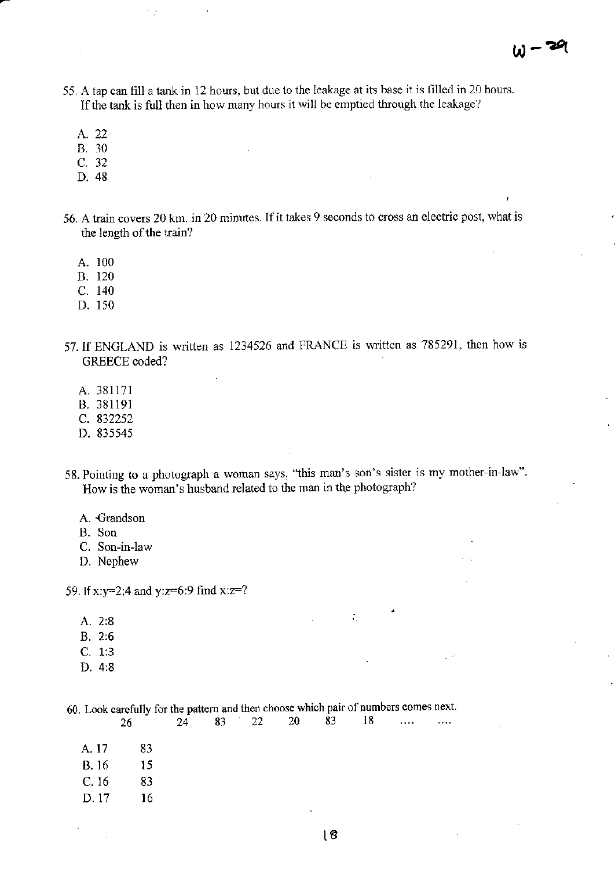- 55. A tap can fill a tank in 12 hours, but due to the leakage at its base it is filled in 20 hours. If the tank is full then in how many hours it will be emptied through the leakage?
	- A. 22
	- B. 30
	- c. <sup>32</sup>
	- D. 48
- 56. A train covers 20 km. in 20 minutes. If it takes 9 seconds to cross an electric post, what is the length of the train?
	- A. <sup>100</sup>
	- B. <sup>120</sup>
	- c. <sup>140</sup>
	- D. <sup>150</sup>
- 57. If ENGLAND is written as 1234526 and FRANCE is written as 785291, then how is GREECE coded?
	- A.381171
	- B.381191
	- c. <sup>832252</sup>
	- D.835545
- 58. Pointing to a photograph a woman says, "this man's son's sister is my mother-in-law". How is the woman's husband related to the man in the photograph?
	- A. Crandson
	- B. Son
	- C. Son-in-law
	- D. Nephew

59. If x:y=2:4 and y:z=6:9 find x:z=?

- A.2:8
- B. 2:6
- C. 1:3
- D. 4i8

60. Look carefully for the pattern and then choose which pair of numbers comes next 26 24 83 22 20 83 18 ...

| A. 17 | 83 |
|-------|----|
| B. 16 | 15 |
| C. 16 | 83 |
| D. 17 | 16 |

÷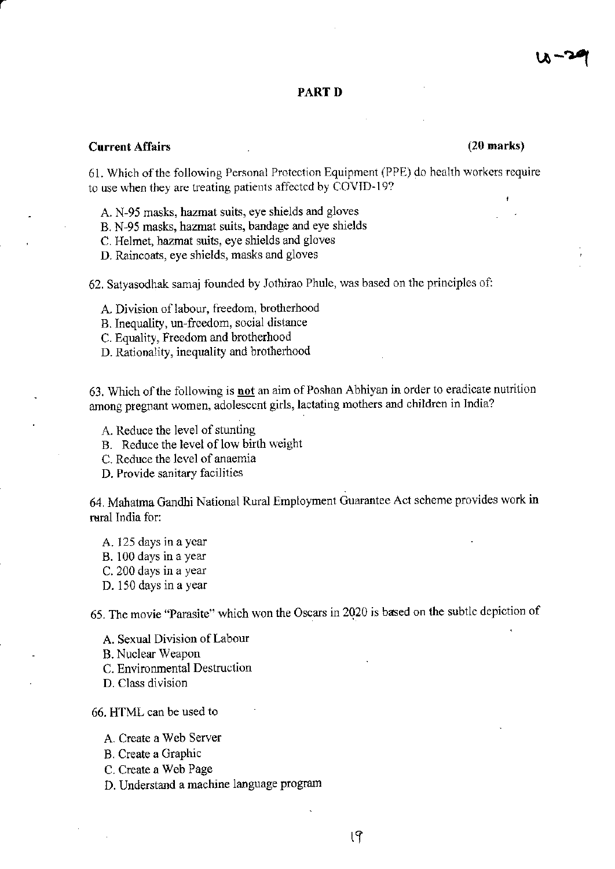#### PART D

# Current Affairs (20 marks)

61. Which of the following Personal Protection Equipment (PPE) do health workers require to use when they are treating patients affected by COVID-19?

- A. N-95 masks, hazmat suits, eye shields and gloves
- B. N-95 masks, hazmat suits, bandage and eye shields
- C. Helmet, hazmat suits, eye shields and gloves
- D. Raincoats, eye shields, masks and gloves

62. Satyasodhak samaj founded by Jothirao Phule, was based on the principles of:

- A. Division of labour, fieedom, brotherhood
- B. Inequality, un-ficedom, social dislance
- C. Equality, Freedom and brotherhood
- D. Rationality, inequality and brotherhood

63. Which of the following is not an aim of Poshan Abhiyan in order to eradicate nutrition among pregnant women, adolesccnt girls, lactatiag mothers and children in India?

- A. Reduce the level of stunting
- B. Reduce the level of low birth weight
- C. Reduce the level of anaemia

D. Provide sanitary facilities

64. Mahatna Gandhi National Rural EmpLoyment Guarantee Ac1 scheme provides work in reral India for:

- A. 125 days in a year
- B. 100 days in a year
- C. 200 days in a year
- D. 150 days in a year

65. The movie "Parasite" which won the Oscars in 2020 is based on the subtlc depiction of

- A. Sexual Division ofLabour
- B. Nuclear Weapon
- C. Environmental Destuction
- D. Class division

66. HTML can be used to

- A. Create a Web Server
- B. Create a Graphic
- C. Create a Web Page
- D. Understard a machine language program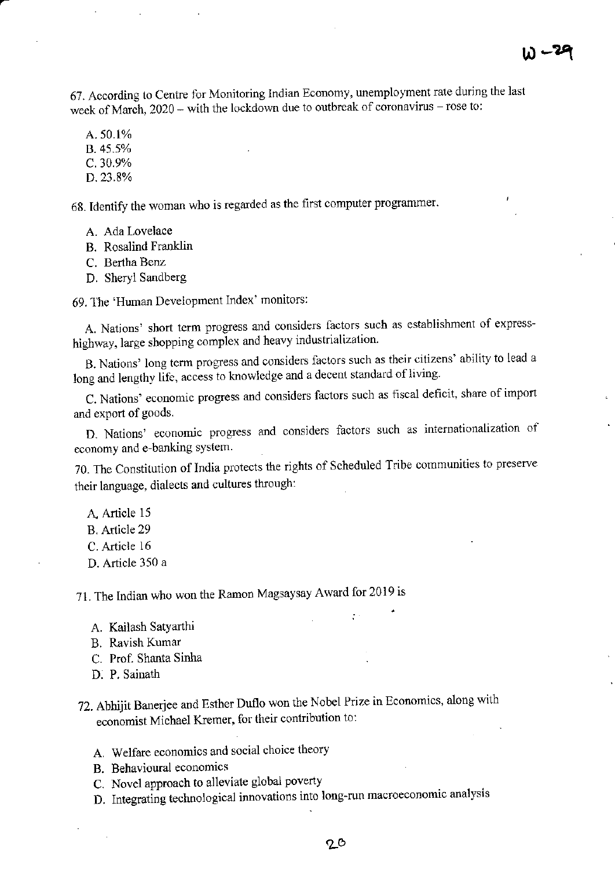67. According to Centre for Monitoring Indian Economy, unemployment rate during the last week of March, 2020 – with the lockdown due to outbreak of coronavirus – rose to:

A. 50.1%

 $B.45.5%$ 

 $C.30.9%$ 

D. 23.8%

68. Identify the woman who is regarded as the first computer programmer.

A. Ada Lovelace

B. Rosalind Franklin

C. Bertha Benz

D. Sheryl Sandberg

69. The 'Human Development Index' monitors:

A. Nations' short term progress and considers factors such as establishment of expresshighway, large shopping complex and heavy industrialization.

B. Nations' long term progress and considers factors such as their citizens' ability to lead a long and lengthy life, access to knowledge and a decent standard of living.

C. Nations' economic progress and considers factors such as fiscal deficit, share of import and export of goods.

D. Nations' economic progress and considers factors such as internationalization of economy and e-banking system.

70. The Constitution of India protects the rights of Scheduled Tribe communities to preserve their language, dialects and cultures through:

A. Article 15

B. Article 29

C. Article 16

D. Article 350 a

71. The Indian who won the Ramon Magsaysay Award for 2019 is

- A. Kailash Satyarthi
- B. Ravish Kumar
- C. Prof. Shanta Sinha
- D. P. Sainath
- 72. Abhijit Banerjee and Esther Duflo won the Nobel Prize in Economics, along with economist Michael Kremer, for their contribution to:
	- A. Welfare economics and social choice theory
	- B. Behavioural economics
	- C. Novel approach to alleviate global poverty
	- D. Integrating technological innovations into long-run macroeconomic analysis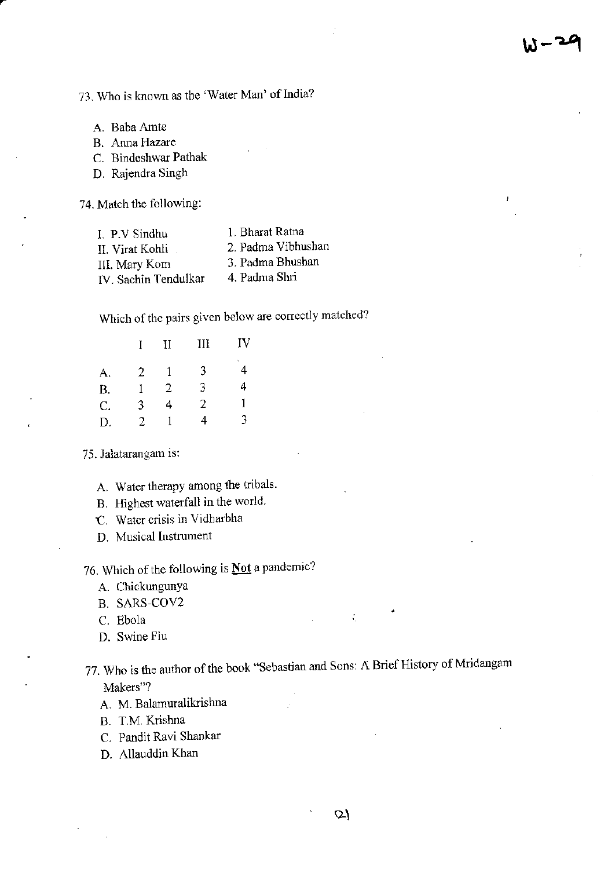# 73. Who is known as the 'Water Man' of India?

A. Baba Amte

B. Anna Hazare

C. Bindeshwar Pathak

D. Rajendra Singh

74. Match the following:

| I. P.V Sindhu        | 1. Bharat Ratna    |
|----------------------|--------------------|
| II. Virat Kohli      | 2. Padma Vibhushan |
| III. Mary Kom        | 3. Padma Bhushan   |
| IV. Sachin Tendulkar | 4. Padma Shri      |

Which of the pairs given below are correctly matched?

| L | $\rm II$ | III | IV     |
|---|----------|-----|--------|
| 2 |          | 3   | v<br>4 |
| 1 | 2        | 3   | 4      |
| 3 | 4        | 2   | 1      |
| 2 |          | 4   | 3      |
|   |          |     |        |

75. Jalatarangam is:

- A. Water therapy among the tribals.
- B. Highest waterfall in the world.
- t. Watcr crisis in Vidharbha
- D. Musical Instrument

# 76. Which of the following is  **a pandemic?**

- A. ChickungunYa
- B, SARS-COV2
- C. Ebola
- D. Swine Fiu
- 77. Who is the author of the book "Sebastian and Sons; A Brief History of Mridangam Makers"?
	- A. M. Balamuralikrishna
	- B. T.M. Krishna
	- C. Pandit Ravi Shankar
	- D. Allauddin Khan

 $\mathcal{L}_{\mathcal{L}}$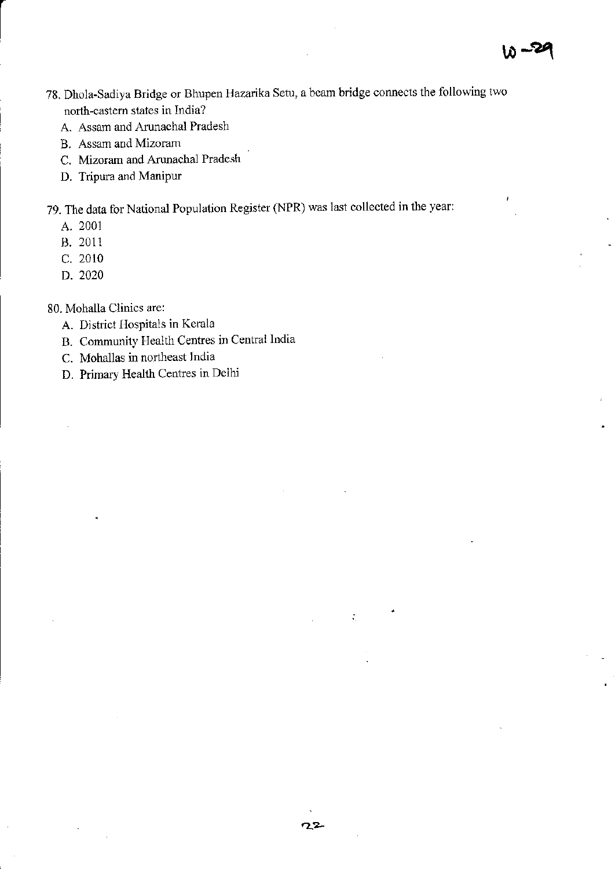- 78. Dhola-Sadiya Bridge or Bhupen Hazarika Setu, a beam bridge connects the following two north-eastern states in India?
	- A. Assam and Arunachal Pradesh
	- B. Assam and Mizoram
	- C. Mizoram and Arunachal Pradesh
	- D. Tripura and Manipur
- 79. The data for National Population Register (NPR) was last collected in the year:
	- A. 2001
	- B. 2011
	- C. 2010
	- D. 2020
- 80. Mohalla Clinics are:
	- A. District Hospitals in Kerala
	- B. Community Health Centres in Central India
	- C. Mohallas in northeast India
	- D. Primary Health Centres in Delhi

 $\tilde{\mathcal{L}}_1$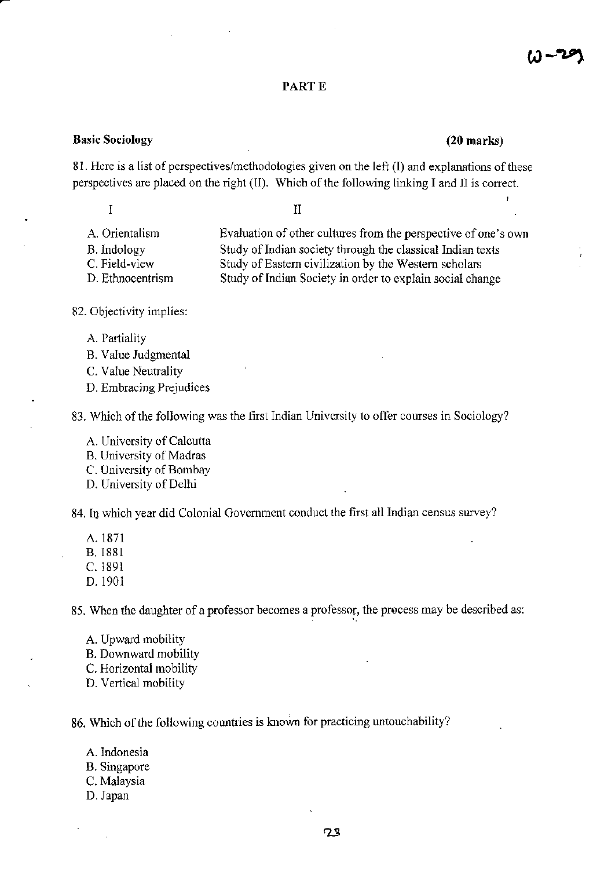# PART E

#### Basic Sociology (20 marks)

 $\overline{I}$ 

81. Here is a list of perspectives/methodologies given on the left (I) and explanations of these perspectives are placed on the right (II). Which of the following linking I and II is correct.

 $H$ 

- A. Orientalism Evaluation of other cultures from the perspective of one's own
- 

B. Indology Study of Indian society through the classical Indian texts<br>C. Field-view Study of Eastern civilization by the Western scholars C. Field-view Study of Eastern civilization by the Western scholars<br>D. Ethnocentrism Study of Indian Society in order to explain social cha Study of Indian Society in order to explain social change

- 82. Objectivity implies:
	- A. Partiality
	- B. Value Judgmental
	- C. Value Neutrality
	- D. Embracing Prejudices

83. Which of the following was the first Indian University to offer courses in Sociology?

- A. University of Calcutta
- B. Univcrsity of Madras
- C. University of Bombay
- D. University of Delhi

84. In which year did Colonial Government conduct the first all Indian census survey?

- A. 1871
- ^. B. 1881
- c. l89r
- D. 1901

85. When the daughter of a professor becomes a professor, the process may be described as:

- A. Upward mobility
- B. Downward mobility
- C. Horizontal mobiliry
- D. Vertical mobility

86. Which of the following countries is known for practicing untouchability?

- A. Indonesia
- B. Singapore
- C. Malaysia
- D. Japan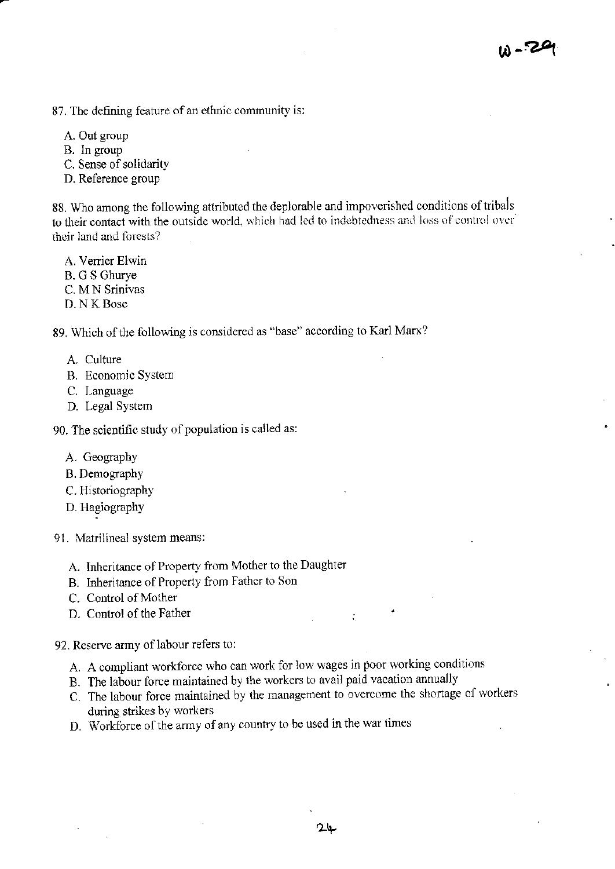- 87. The defining feature of an ethnic community is:
	- A. Out group
	- B. In group
	- C. Sense of solidarity
	- D. Reference group

88. Who among the following attributed the deplorable and impoverished conditions of tribals to their contact with the outside world, which had led to indebtedness and loss of control over their land and forests?

- A. Verrier Elwin
- B. G S Ghurye
- C. M N Srinivas
- D. N K Bose

89. Which of the following is considered as "base" according to Karl Marx?

- A. Culture
- B. Economic System
- C. Language
- D. Legal System

90. The scientific study of population is called as:

- A. Geography
- B. Demography
- C. Historiography
- D. Hagiography
- 91. Matrilineal system means:
	- A. Inheritance of Property from Mother to the Daughter
	- B. Inheritance of Property from Father to Son
	- C. Control of Mother
	- D. Control of the Father

92. Reserve army of labour refers to:

- A. A compliant workforce who can work for low wages in poor working conditions
- B. The labour force maintained by the workers to avail paid vacation annually
- C. The labour force maintained by the management to overcome the shortage of workers during strikes by workers
- D. Workforce of the army of any country to be used in the war times

÷.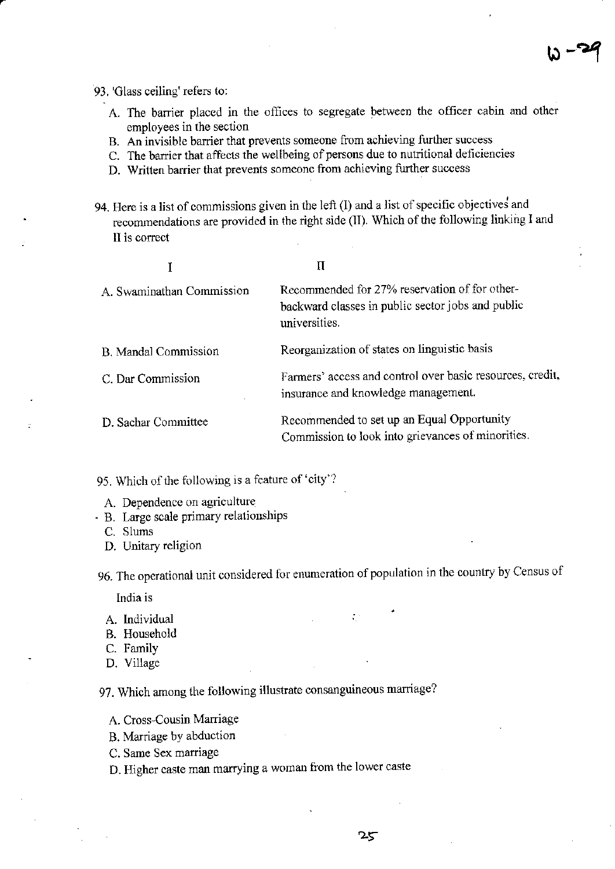93. 'Glass ceiling' refers to:

- A. The barrier placed in the offices to segregate between the officer cabin and other employees in the section
- B. An invisible barrier that prevents someone from achieving further success
- C. The barrier that affects the wellbeing of persons due to nutritional deficiencies
- D. Written barrier that prevents someone from achieving further success
- 94. Here is a list of commissions given in the left (I) and a list of specific objectives and recommendations are provided in the right side (II). Which of the following linking I and II is correct

|                           | П                                                                                                                   |
|---------------------------|---------------------------------------------------------------------------------------------------------------------|
| A. Swaminathan Commission | Recommended for 27% reservation of for other-<br>backward classes in public sector jobs and public<br>universities. |
| B. Mandal Commission      | Reorganization of states on linguistic basis                                                                        |
| C. Dar Commission         | Farmers' access and control over basic resources, credit,<br>insurance and knowledge management.                    |
| D. Sachar Committee       | Recommended to set up an Equal Opportunity<br>Commission to look into grievances of minorities.                     |

95. Which of the following is a feature of 'city'?

- A. Dependence on agriculture
- · B. Large scale primary relationships
	- C. Slums
	- D. Unitary religion

96. The operational unit considered for enumeration of population in the country by Census of

India is

- A. Individual
- B. Household
- C. Family
- D. Village

97. Which among the following illustrate consanguineous marriage?

- A. Cross-Cousin Marriage
- B. Marriage by abduction
- C. Same Sex marriage
- D. Higher caste man marrying a woman from the lower caste